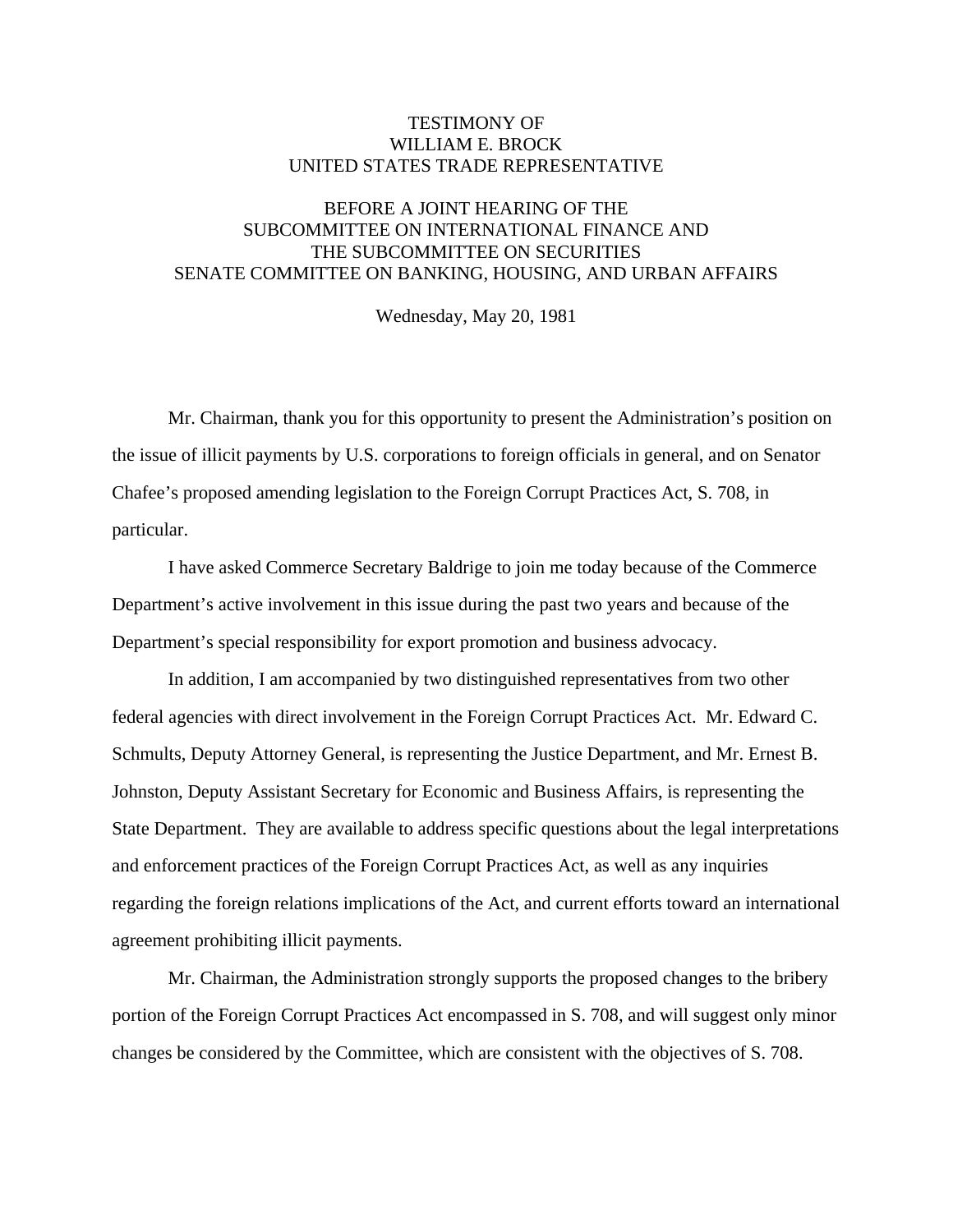## TESTIMONY OF WILLIAM E. BROCK UNITED STATES TRADE REPRESENTATIVE

## BEFORE A JOINT HEARING OF THE SUBCOMMITTEE ON INTERNATIONAL FINANCE AND THE SUBCOMMITTEE ON SECURITIES SENATE COMMITTEE ON BANKING, HOUSING, AND URBAN AFFAIRS

Wednesday, May 20, 1981

 Mr. Chairman, thank you for this opportunity to present the Administration's position on the issue of illicit payments by U.S. corporations to foreign officials in general, and on Senator Chafee's proposed amending legislation to the Foreign Corrupt Practices Act, S. 708, in particular.

 I have asked Commerce Secretary Baldrige to join me today because of the Commerce Department's active involvement in this issue during the past two years and because of the Department's special responsibility for export promotion and business advocacy.

 In addition, I am accompanied by two distinguished representatives from two other federal agencies with direct involvement in the Foreign Corrupt Practices Act. Mr. Edward C. Schmults, Deputy Attorney General, is representing the Justice Department, and Mr. Ernest B. Johnston, Deputy Assistant Secretary for Economic and Business Affairs, is representing the State Department. They are available to address specific questions about the legal interpretations and enforcement practices of the Foreign Corrupt Practices Act, as well as any inquiries regarding the foreign relations implications of the Act, and current efforts toward an international agreement prohibiting illicit payments.

 Mr. Chairman, the Administration strongly supports the proposed changes to the bribery portion of the Foreign Corrupt Practices Act encompassed in S. 708, and will suggest only minor changes be considered by the Committee, which are consistent with the objectives of S. 708.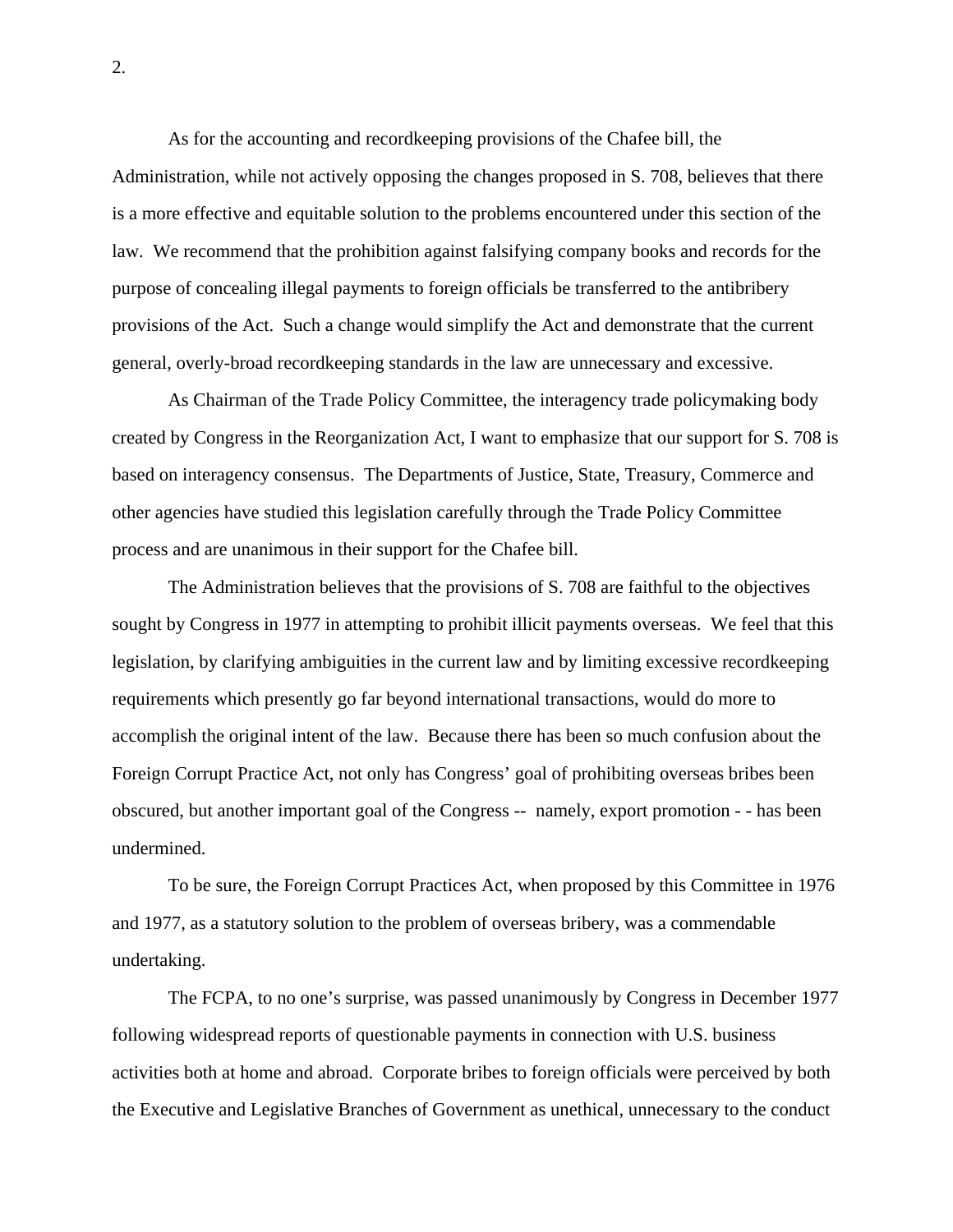As for the accounting and recordkeeping provisions of the Chafee bill, the Administration, while not actively opposing the changes proposed in S. 708, believes that there is a more effective and equitable solution to the problems encountered under this section of the law. We recommend that the prohibition against falsifying company books and records for the purpose of concealing illegal payments to foreign officials be transferred to the antibribery provisions of the Act. Such a change would simplify the Act and demonstrate that the current general, overly-broad recordkeeping standards in the law are unnecessary and excessive.

 As Chairman of the Trade Policy Committee, the interagency trade policymaking body created by Congress in the Reorganization Act, I want to emphasize that our support for S. 708 is based on interagency consensus. The Departments of Justice, State, Treasury, Commerce and other agencies have studied this legislation carefully through the Trade Policy Committee process and are unanimous in their support for the Chafee bill.

 The Administration believes that the provisions of S. 708 are faithful to the objectives sought by Congress in 1977 in attempting to prohibit illicit payments overseas. We feel that this legislation, by clarifying ambiguities in the current law and by limiting excessive recordkeeping requirements which presently go far beyond international transactions, would do more to accomplish the original intent of the law. Because there has been so much confusion about the Foreign Corrupt Practice Act, not only has Congress' goal of prohibiting overseas bribes been obscured, but another important goal of the Congress -- namely, export promotion - - has been undermined.

 To be sure, the Foreign Corrupt Practices Act, when proposed by this Committee in 1976 and 1977, as a statutory solution to the problem of overseas bribery, was a commendable undertaking.

 The FCPA, to no one's surprise, was passed unanimously by Congress in December 1977 following widespread reports of questionable payments in connection with U.S. business activities both at home and abroad. Corporate bribes to foreign officials were perceived by both the Executive and Legislative Branches of Government as unethical, unnecessary to the conduct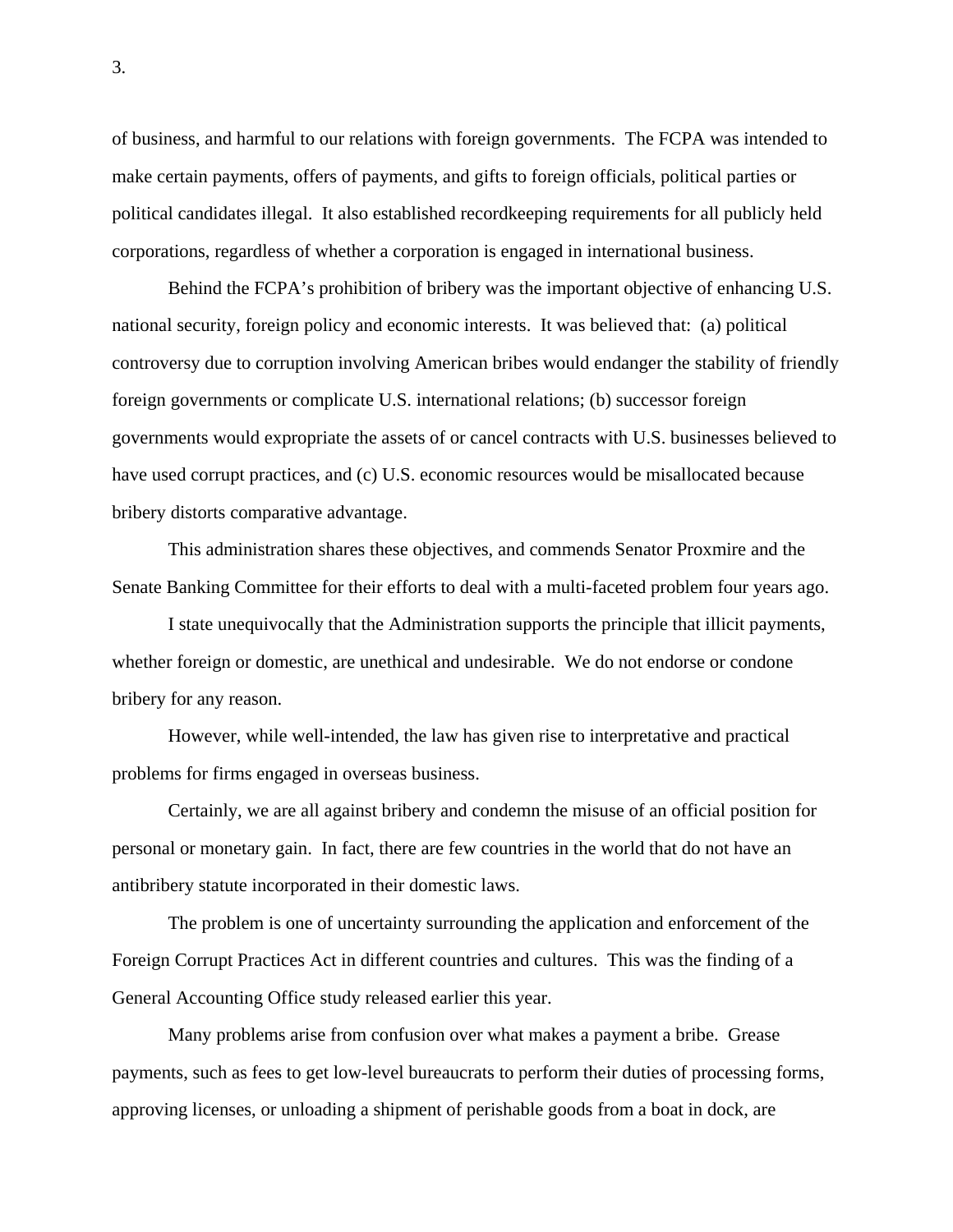of business, and harmful to our relations with foreign governments. The FCPA was intended to make certain payments, offers of payments, and gifts to foreign officials, political parties or political candidates illegal. It also established recordkeeping requirements for all publicly held corporations, regardless of whether a corporation is engaged in international business.

 Behind the FCPA's prohibition of bribery was the important objective of enhancing U.S. national security, foreign policy and economic interests. It was believed that: (a) political controversy due to corruption involving American bribes would endanger the stability of friendly foreign governments or complicate U.S. international relations; (b) successor foreign governments would expropriate the assets of or cancel contracts with U.S. businesses believed to have used corrupt practices, and (c) U.S. economic resources would be misallocated because bribery distorts comparative advantage.

 This administration shares these objectives, and commends Senator Proxmire and the Senate Banking Committee for their efforts to deal with a multi-faceted problem four years ago.

 I state unequivocally that the Administration supports the principle that illicit payments, whether foreign or domestic, are unethical and undesirable. We do not endorse or condone bribery for any reason.

 However, while well-intended, the law has given rise to interpretative and practical problems for firms engaged in overseas business.

 Certainly, we are all against bribery and condemn the misuse of an official position for personal or monetary gain. In fact, there are few countries in the world that do not have an antibribery statute incorporated in their domestic laws.

 The problem is one of uncertainty surrounding the application and enforcement of the Foreign Corrupt Practices Act in different countries and cultures. This was the finding of a General Accounting Office study released earlier this year.

 Many problems arise from confusion over what makes a payment a bribe. Grease payments, such as fees to get low-level bureaucrats to perform their duties of processing forms, approving licenses, or unloading a shipment of perishable goods from a boat in dock, are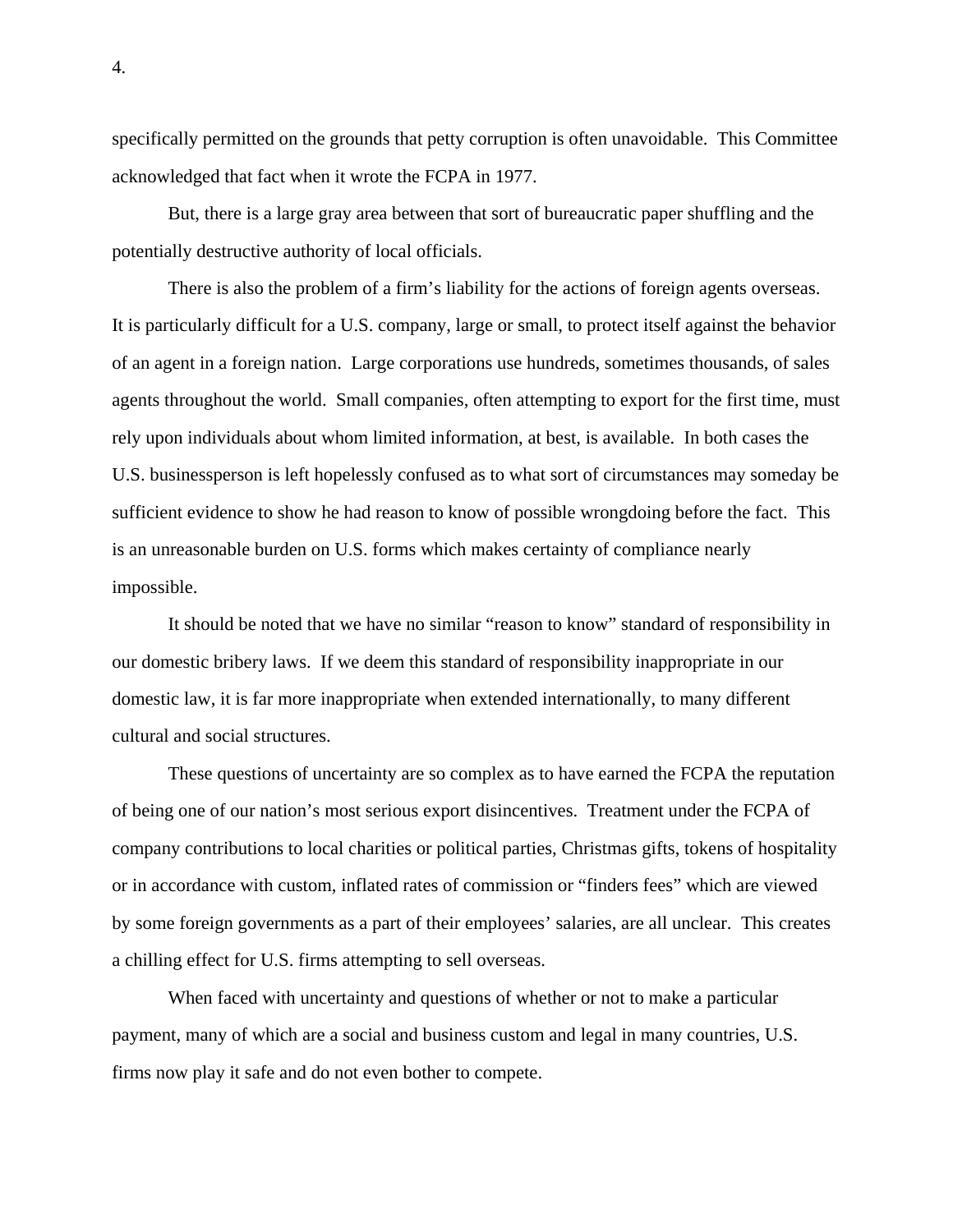specifically permitted on the grounds that petty corruption is often unavoidable. This Committee acknowledged that fact when it wrote the FCPA in 1977.

 But, there is a large gray area between that sort of bureaucratic paper shuffling and the potentially destructive authority of local officials.

 There is also the problem of a firm's liability for the actions of foreign agents overseas. It is particularly difficult for a U.S. company, large or small, to protect itself against the behavior of an agent in a foreign nation. Large corporations use hundreds, sometimes thousands, of sales agents throughout the world. Small companies, often attempting to export for the first time, must rely upon individuals about whom limited information, at best, is available. In both cases the U.S. businessperson is left hopelessly confused as to what sort of circumstances may someday be sufficient evidence to show he had reason to know of possible wrongdoing before the fact. This is an unreasonable burden on U.S. forms which makes certainty of compliance nearly impossible.

 It should be noted that we have no similar "reason to know" standard of responsibility in our domestic bribery laws. If we deem this standard of responsibility inappropriate in our domestic law, it is far more inappropriate when extended internationally, to many different cultural and social structures.

 These questions of uncertainty are so complex as to have earned the FCPA the reputation of being one of our nation's most serious export disincentives. Treatment under the FCPA of company contributions to local charities or political parties, Christmas gifts, tokens of hospitality or in accordance with custom, inflated rates of commission or "finders fees" which are viewed by some foreign governments as a part of their employees' salaries, are all unclear. This creates a chilling effect for U.S. firms attempting to sell overseas.

 When faced with uncertainty and questions of whether or not to make a particular payment, many of which are a social and business custom and legal in many countries, U.S. firms now play it safe and do not even bother to compete.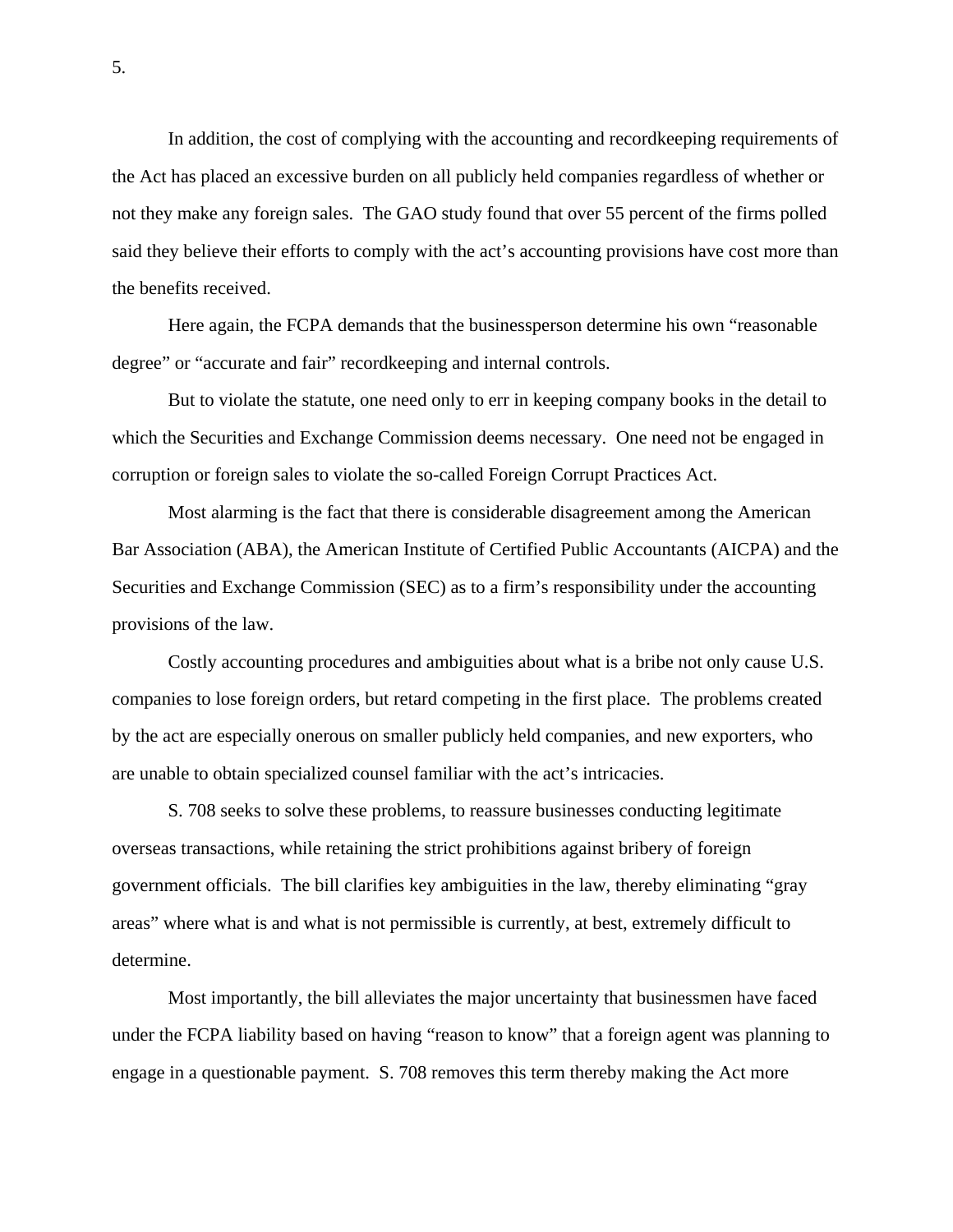In addition, the cost of complying with the accounting and recordkeeping requirements of the Act has placed an excessive burden on all publicly held companies regardless of whether or not they make any foreign sales. The GAO study found that over 55 percent of the firms polled said they believe their efforts to comply with the act's accounting provisions have cost more than the benefits received.

 Here again, the FCPA demands that the businessperson determine his own "reasonable degree" or "accurate and fair" recordkeeping and internal controls.

 But to violate the statute, one need only to err in keeping company books in the detail to which the Securities and Exchange Commission deems necessary. One need not be engaged in corruption or foreign sales to violate the so-called Foreign Corrupt Practices Act.

 Most alarming is the fact that there is considerable disagreement among the American Bar Association (ABA), the American Institute of Certified Public Accountants (AICPA) and the Securities and Exchange Commission (SEC) as to a firm's responsibility under the accounting provisions of the law.

 Costly accounting procedures and ambiguities about what is a bribe not only cause U.S. companies to lose foreign orders, but retard competing in the first place. The problems created by the act are especially onerous on smaller publicly held companies, and new exporters, who are unable to obtain specialized counsel familiar with the act's intricacies.

 S. 708 seeks to solve these problems, to reassure businesses conducting legitimate overseas transactions, while retaining the strict prohibitions against bribery of foreign government officials. The bill clarifies key ambiguities in the law, thereby eliminating "gray areas" where what is and what is not permissible is currently, at best, extremely difficult to determine.

 Most importantly, the bill alleviates the major uncertainty that businessmen have faced under the FCPA liability based on having "reason to know" that a foreign agent was planning to engage in a questionable payment. S. 708 removes this term thereby making the Act more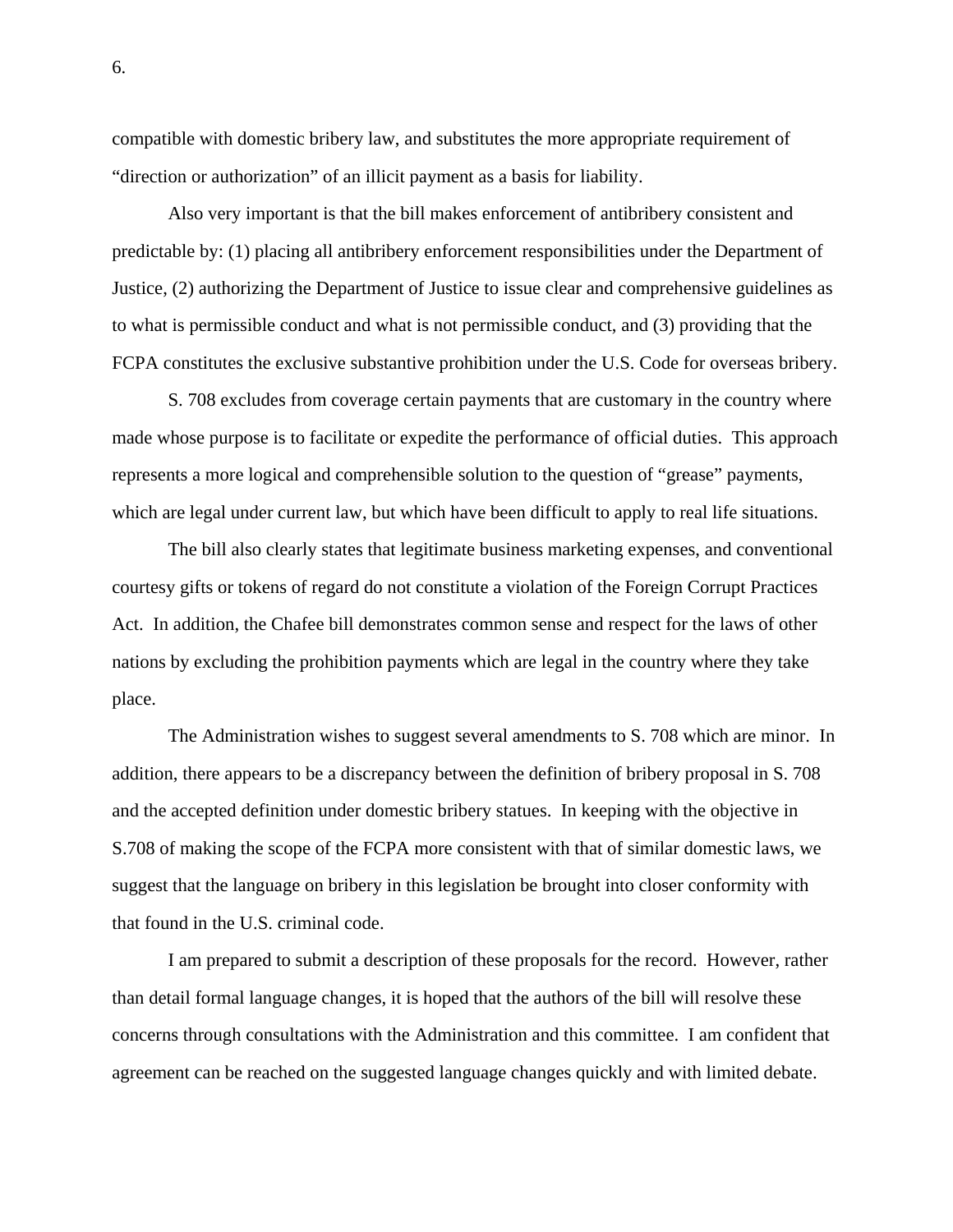compatible with domestic bribery law, and substitutes the more appropriate requirement of "direction or authorization" of an illicit payment as a basis for liability.

 Also very important is that the bill makes enforcement of antibribery consistent and predictable by: (1) placing all antibribery enforcement responsibilities under the Department of Justice, (2) authorizing the Department of Justice to issue clear and comprehensive guidelines as to what is permissible conduct and what is not permissible conduct, and (3) providing that the FCPA constitutes the exclusive substantive prohibition under the U.S. Code for overseas bribery.

 S. 708 excludes from coverage certain payments that are customary in the country where made whose purpose is to facilitate or expedite the performance of official duties. This approach represents a more logical and comprehensible solution to the question of "grease" payments, which are legal under current law, but which have been difficult to apply to real life situations.

 The bill also clearly states that legitimate business marketing expenses, and conventional courtesy gifts or tokens of regard do not constitute a violation of the Foreign Corrupt Practices Act. In addition, the Chafee bill demonstrates common sense and respect for the laws of other nations by excluding the prohibition payments which are legal in the country where they take place.

 The Administration wishes to suggest several amendments to S. 708 which are minor. In addition, there appears to be a discrepancy between the definition of bribery proposal in S. 708 and the accepted definition under domestic bribery statues. In keeping with the objective in S.708 of making the scope of the FCPA more consistent with that of similar domestic laws, we suggest that the language on bribery in this legislation be brought into closer conformity with that found in the U.S. criminal code.

 I am prepared to submit a description of these proposals for the record. However, rather than detail formal language changes, it is hoped that the authors of the bill will resolve these concerns through consultations with the Administration and this committee. I am confident that agreement can be reached on the suggested language changes quickly and with limited debate.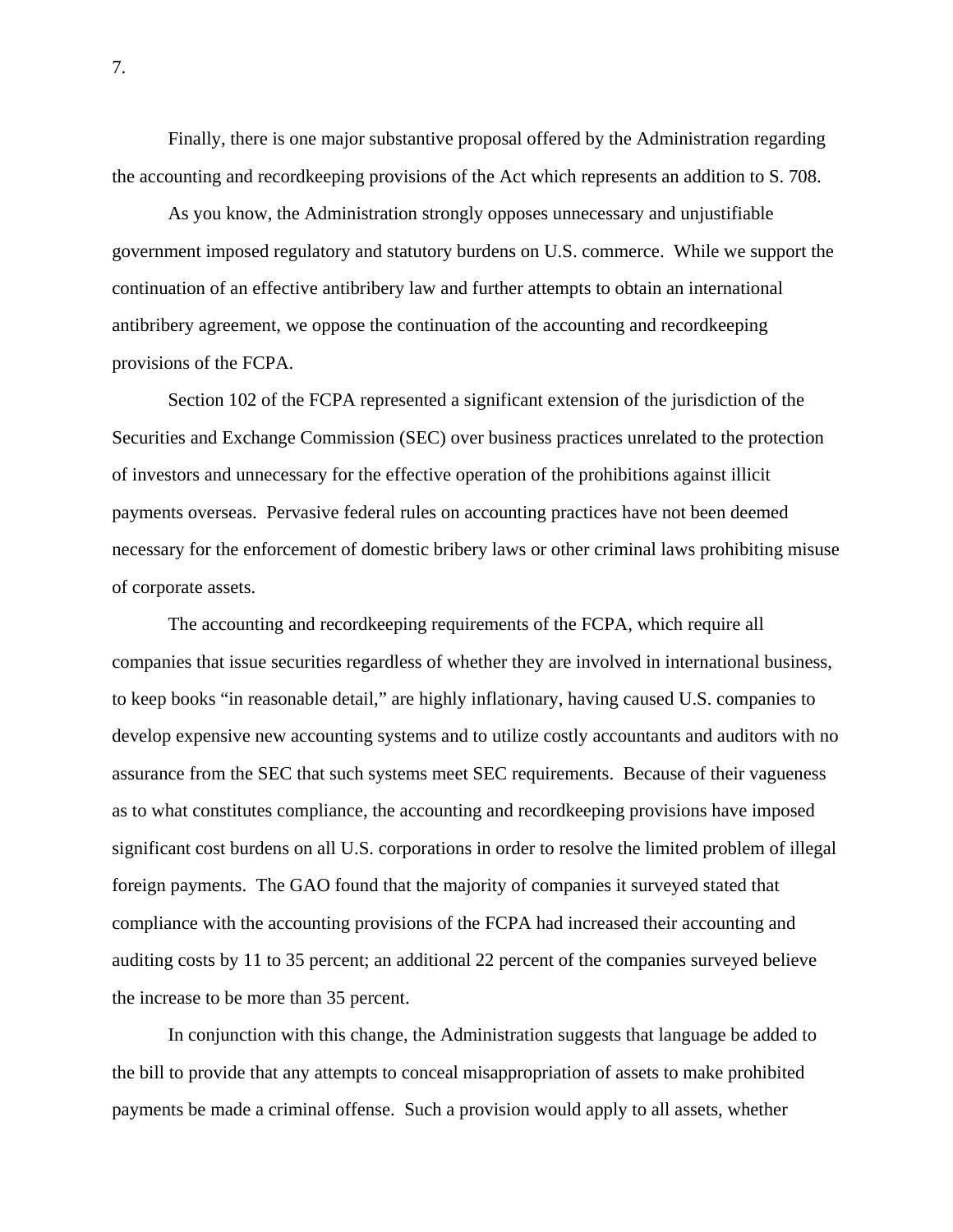Finally, there is one major substantive proposal offered by the Administration regarding the accounting and recordkeeping provisions of the Act which represents an addition to S. 708.

 As you know, the Administration strongly opposes unnecessary and unjustifiable government imposed regulatory and statutory burdens on U.S. commerce. While we support the continuation of an effective antibribery law and further attempts to obtain an international antibribery agreement, we oppose the continuation of the accounting and recordkeeping provisions of the FCPA.

 Section 102 of the FCPA represented a significant extension of the jurisdiction of the Securities and Exchange Commission (SEC) over business practices unrelated to the protection of investors and unnecessary for the effective operation of the prohibitions against illicit payments overseas. Pervasive federal rules on accounting practices have not been deemed necessary for the enforcement of domestic bribery laws or other criminal laws prohibiting misuse of corporate assets.

 The accounting and recordkeeping requirements of the FCPA, which require all companies that issue securities regardless of whether they are involved in international business, to keep books "in reasonable detail," are highly inflationary, having caused U.S. companies to develop expensive new accounting systems and to utilize costly accountants and auditors with no assurance from the SEC that such systems meet SEC requirements. Because of their vagueness as to what constitutes compliance, the accounting and recordkeeping provisions have imposed significant cost burdens on all U.S. corporations in order to resolve the limited problem of illegal foreign payments. The GAO found that the majority of companies it surveyed stated that compliance with the accounting provisions of the FCPA had increased their accounting and auditing costs by 11 to 35 percent; an additional 22 percent of the companies surveyed believe the increase to be more than 35 percent.

 In conjunction with this change, the Administration suggests that language be added to the bill to provide that any attempts to conceal misappropriation of assets to make prohibited payments be made a criminal offense. Such a provision would apply to all assets, whether

7.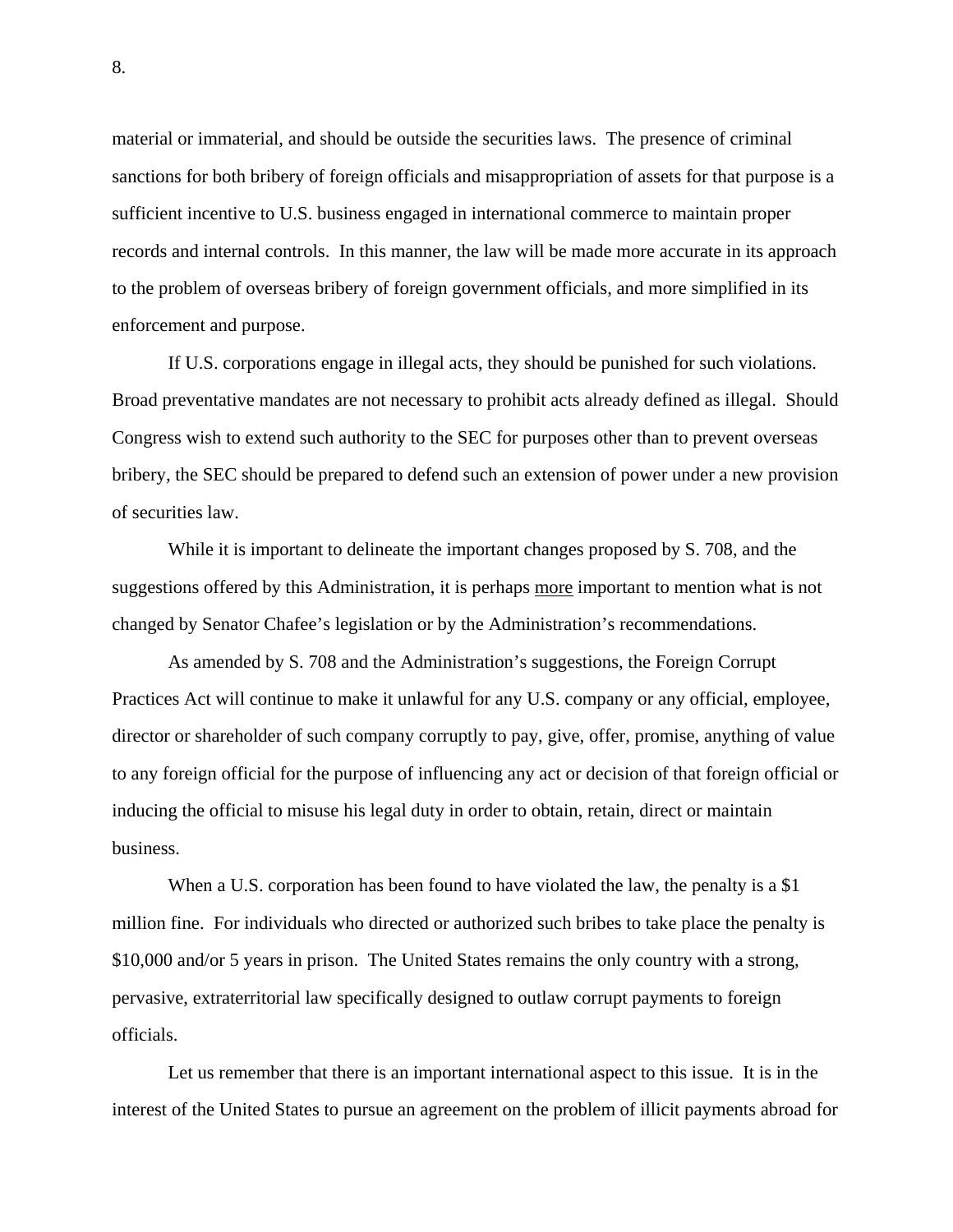material or immaterial, and should be outside the securities laws. The presence of criminal sanctions for both bribery of foreign officials and misappropriation of assets for that purpose is a sufficient incentive to U.S. business engaged in international commerce to maintain proper records and internal controls. In this manner, the law will be made more accurate in its approach to the problem of overseas bribery of foreign government officials, and more simplified in its enforcement and purpose.

 If U.S. corporations engage in illegal acts, they should be punished for such violations. Broad preventative mandates are not necessary to prohibit acts already defined as illegal. Should Congress wish to extend such authority to the SEC for purposes other than to prevent overseas bribery, the SEC should be prepared to defend such an extension of power under a new provision of securities law.

 While it is important to delineate the important changes proposed by S. 708, and the suggestions offered by this Administration, it is perhaps more important to mention what is not changed by Senator Chafee's legislation or by the Administration's recommendations.

 As amended by S. 708 and the Administration's suggestions, the Foreign Corrupt Practices Act will continue to make it unlawful for any U.S. company or any official, employee, director or shareholder of such company corruptly to pay, give, offer, promise, anything of value to any foreign official for the purpose of influencing any act or decision of that foreign official or inducing the official to misuse his legal duty in order to obtain, retain, direct or maintain business.

When a U.S. corporation has been found to have violated the law, the penalty is a \$1 million fine. For individuals who directed or authorized such bribes to take place the penalty is \$10,000 and/or 5 years in prison. The United States remains the only country with a strong, pervasive, extraterritorial law specifically designed to outlaw corrupt payments to foreign officials.

 Let us remember that there is an important international aspect to this issue. It is in the interest of the United States to pursue an agreement on the problem of illicit payments abroad for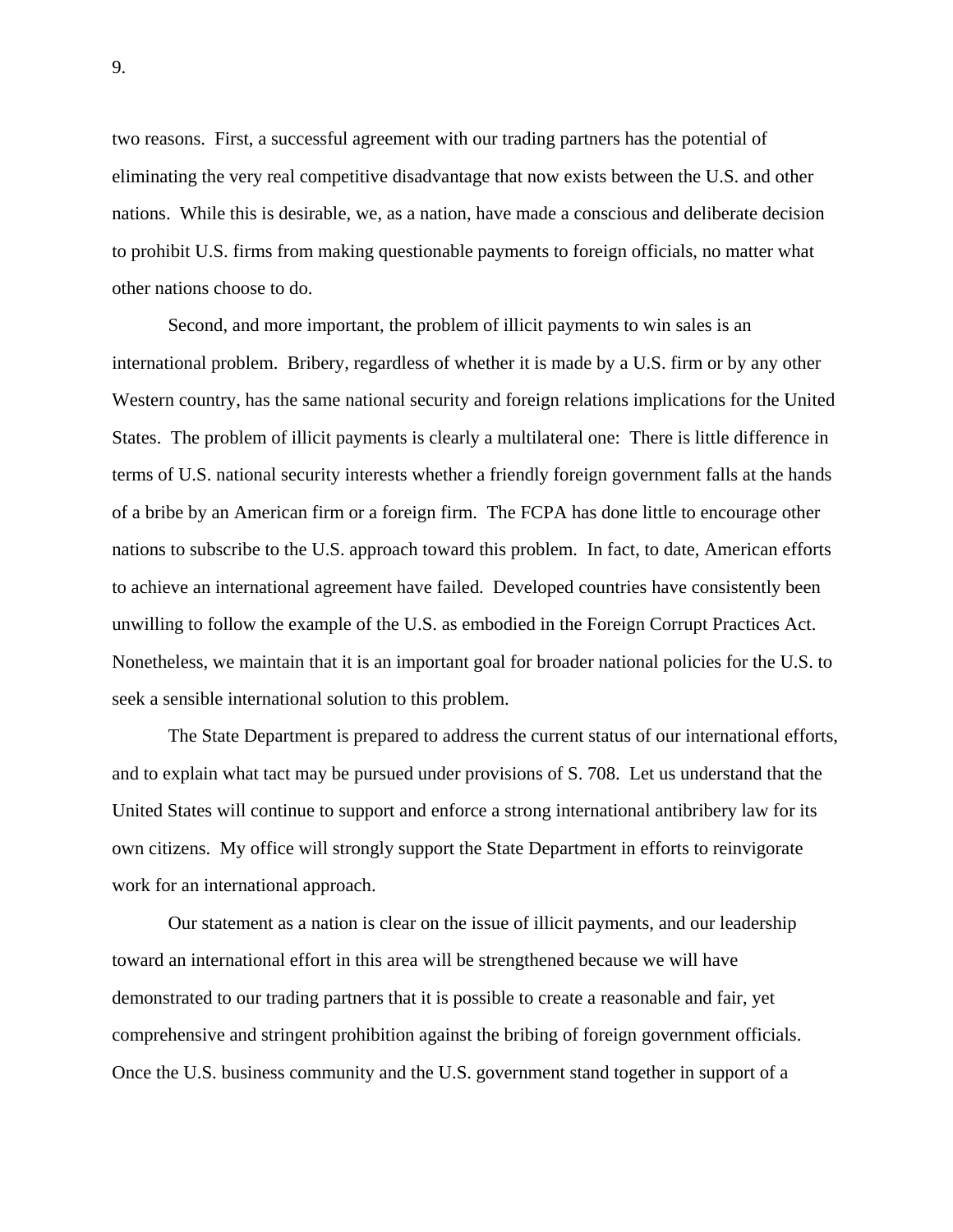two reasons. First, a successful agreement with our trading partners has the potential of eliminating the very real competitive disadvantage that now exists between the U.S. and other nations. While this is desirable, we, as a nation, have made a conscious and deliberate decision to prohibit U.S. firms from making questionable payments to foreign officials, no matter what other nations choose to do.

 Second, and more important, the problem of illicit payments to win sales is an international problem. Bribery, regardless of whether it is made by a U.S. firm or by any other Western country, has the same national security and foreign relations implications for the United States. The problem of illicit payments is clearly a multilateral one: There is little difference in terms of U.S. national security interests whether a friendly foreign government falls at the hands of a bribe by an American firm or a foreign firm. The FCPA has done little to encourage other nations to subscribe to the U.S. approach toward this problem. In fact, to date, American efforts to achieve an international agreement have failed. Developed countries have consistently been unwilling to follow the example of the U.S. as embodied in the Foreign Corrupt Practices Act. Nonetheless, we maintain that it is an important goal for broader national policies for the U.S. to seek a sensible international solution to this problem.

 The State Department is prepared to address the current status of our international efforts, and to explain what tact may be pursued under provisions of S. 708. Let us understand that the United States will continue to support and enforce a strong international antibribery law for its own citizens. My office will strongly support the State Department in efforts to reinvigorate work for an international approach.

 Our statement as a nation is clear on the issue of illicit payments, and our leadership toward an international effort in this area will be strengthened because we will have demonstrated to our trading partners that it is possible to create a reasonable and fair, yet comprehensive and stringent prohibition against the bribing of foreign government officials. Once the U.S. business community and the U.S. government stand together in support of a